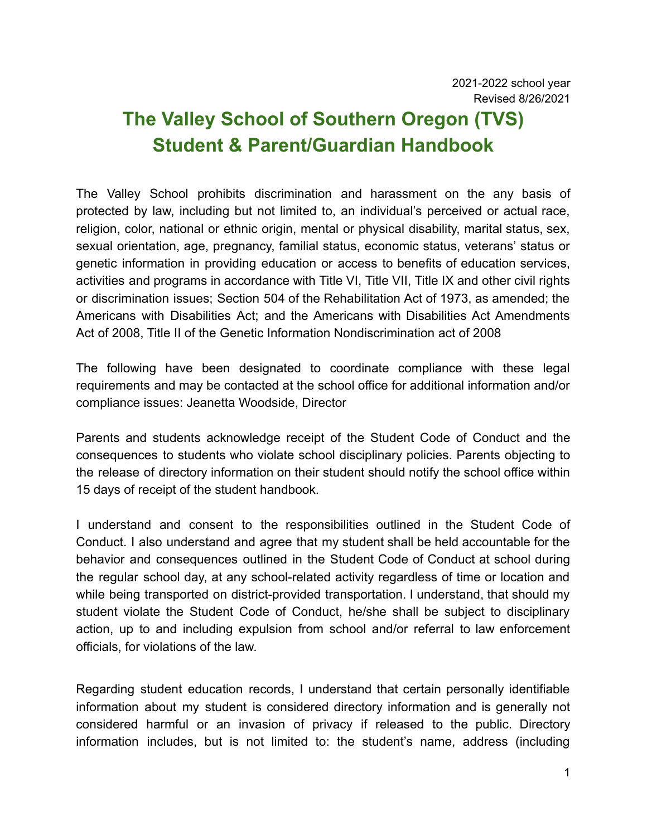# **The Valley School of Southern Oregon (TVS) Student & Parent/Guardian Handbook**

The Valley School prohibits discrimination and harassment on the any basis of protected by law, including but not limited to, an individual's perceived or actual race, religion, color, national or ethnic origin, mental or physical disability, marital status, sex, sexual orientation, age, pregnancy, familial status, economic status, veterans' status or genetic information in providing education or access to benefits of education services, activities and programs in accordance with Title VI, Title VII, Title IX and other civil rights or discrimination issues; Section 504 of the Rehabilitation Act of 1973, as amended; the Americans with Disabilities Act; and the Americans with Disabilities Act Amendments Act of 2008, Title II of the Genetic Information Nondiscrimination act of 2008

The following have been designated to coordinate compliance with these legal requirements and may be contacted at the school office for additional information and/or compliance issues: Jeanetta Woodside, Director

Parents and students acknowledge receipt of the Student Code of Conduct and the consequences to students who violate school disciplinary policies. Parents objecting to the release of directory information on their student should notify the school office within 15 days of receipt of the student handbook.

I understand and consent to the responsibilities outlined in the Student Code of Conduct. I also understand and agree that my student shall be held accountable for the behavior and consequences outlined in the Student Code of Conduct at school during the regular school day, at any school-related activity regardless of time or location and while being transported on district-provided transportation. I understand, that should my student violate the Student Code of Conduct, he/she shall be subject to disciplinary action, up to and including expulsion from school and/or referral to law enforcement officials, for violations of the law.

Regarding student education records, I understand that certain personally identifiable information about my student is considered directory information and is generally not considered harmful or an invasion of privacy if released to the public. Directory information includes, but is not limited to: the student's name, address (including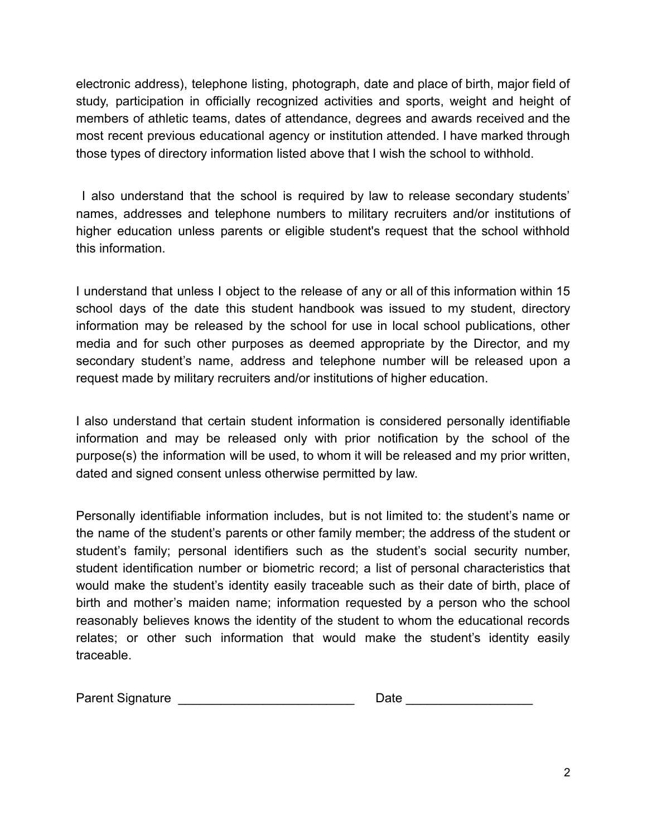electronic address), telephone listing, photograph, date and place of birth, major field of study, participation in officially recognized activities and sports, weight and height of members of athletic teams, dates of attendance, degrees and awards received and the most recent previous educational agency or institution attended. I have marked through those types of directory information listed above that I wish the school to withhold.

I also understand that the school is required by law to release secondary students' names, addresses and telephone numbers to military recruiters and/or institutions of higher education unless parents or eligible student's request that the school withhold this information.

I understand that unless I object to the release of any or all of this information within 15 school days of the date this student handbook was issued to my student, directory information may be released by the school for use in local school publications, other media and for such other purposes as deemed appropriate by the Director, and my secondary student's name, address and telephone number will be released upon a request made by military recruiters and/or institutions of higher education.

I also understand that certain student information is considered personally identifiable information and may be released only with prior notification by the school of the purpose(s) the information will be used, to whom it will be released and my prior written, dated and signed consent unless otherwise permitted by law.

Personally identifiable information includes, but is not limited to: the student's name or the name of the student's parents or other family member; the address of the student or student's family; personal identifiers such as the student's social security number, student identification number or biometric record; a list of personal characteristics that would make the student's identity easily traceable such as their date of birth, place of birth and mother's maiden name; information requested by a person who the school reasonably believes knows the identity of the student to whom the educational records relates; or other such information that would make the student's identity easily traceable.

| <b>Parent Signature</b> | Date |  |
|-------------------------|------|--|
|                         |      |  |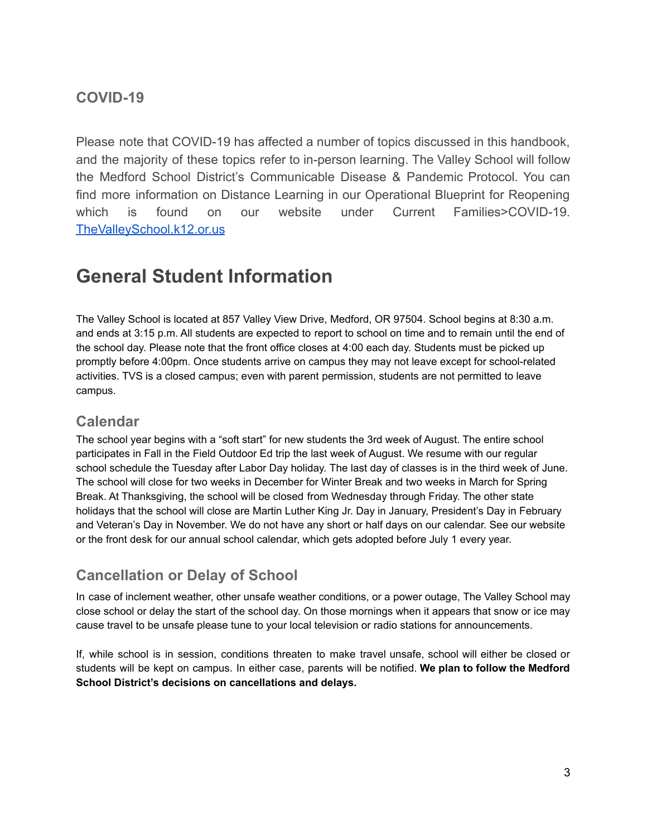## **COVID-19**

Please note that COVID-19 has affected a number of topics discussed in this handbook, and the majority of these topics refer to in-person learning. The Valley School will follow the Medford School District's Communicable Disease & Pandemic Protocol. You can find more information on Distance Learning in our Operational Blueprint for Reopening which is found on our website under Current Families>COVID-19. [TheValleySchool.k12.or.us](http://thevalleyschool.k12.or.us)

# **General Student Information**

The Valley School is located at 857 Valley View Drive, Medford, OR 97504. School begins at 8:30 a.m. and ends at 3:15 p.m. All students are expected to report to school on time and to remain until the end of the school day. Please note that the front office closes at 4:00 each day. Students must be picked up promptly before 4:00pm. Once students arrive on campus they may not leave except for school-related activities. TVS is a closed campus; even with parent permission, students are not permitted to leave campus.

### **Calendar**

The school year begins with a "soft start" for new students the 3rd week of August. The entire school participates in Fall in the Field Outdoor Ed trip the last week of August. We resume with our regular school schedule the Tuesday after Labor Day holiday. The last day of classes is in the third week of June. The school will close for two weeks in December for Winter Break and two weeks in March for Spring Break. At Thanksgiving, the school will be closed from Wednesday through Friday. The other state holidays that the school will close are Martin Luther King Jr. Day in January, President's Day in February and Veteran's Day in November. We do not have any short or half days on our calendar. See our website or the front desk for our annual school calendar, which gets adopted before July 1 every year.

# **Cancellation or Delay of School**

In case of inclement weather, other unsafe weather conditions, or a power outage, The Valley School may close school or delay the start of the school day. On those mornings when it appears that snow or ice may cause travel to be unsafe please tune to your local television or radio stations for announcements.

If, while school is in session, conditions threaten to make travel unsafe, school will either be closed or students will be kept on campus. In either case, parents will be notified. **We plan to follow the Medford School District's decisions on cancellations and delays.**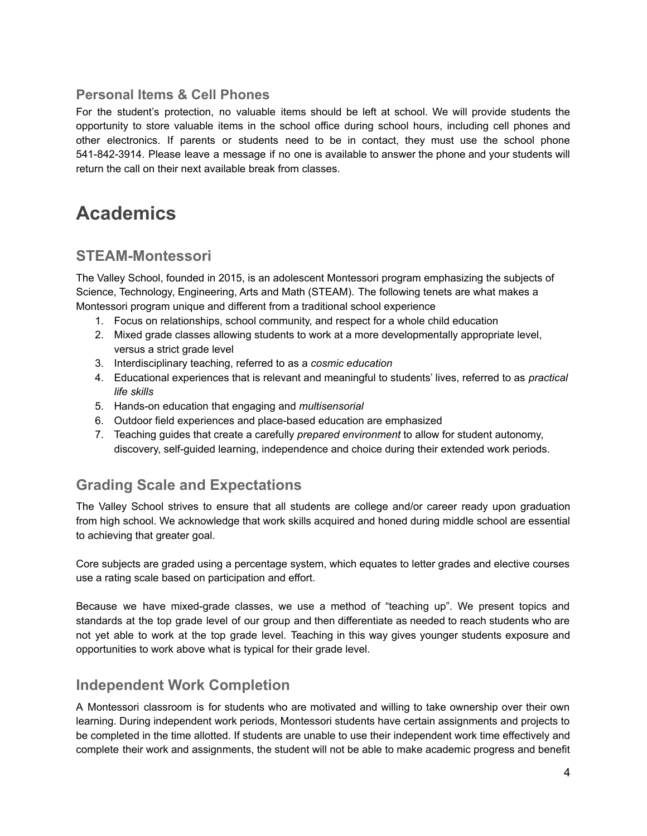### **Personal Items & Cell Phones**

For the student's protection, no valuable items should be left at school. We will provide students the opportunity to store valuable items in the school office during school hours, including cell phones and other electronics. If parents or students need to be in contact, they must use the school phone 541-842-3914. Please leave a message if no one is available to answer the phone and your students will return the call on their next available break from classes.

# **Academics**

## **STEAM-Montessori**

The Valley School, founded in 2015, is an adolescent Montessori program emphasizing the subjects of Science, Technology, Engineering, Arts and Math (STEAM). The following tenets are what makes a Montessori program unique and different from a traditional school experience

- 1. Focus on relationships, school community, and respect for a whole child education
- 2. Mixed grade classes allowing students to work at a more developmentally appropriate level, versus a strict grade level
- 3. Interdisciplinary teaching, referred to as a *cosmic education*
- 4. Educational experiences that is relevant and meaningful to students' lives, referred to as *practical life skills*
- 5. Hands-on education that engaging and *multisensorial*
- 6. Outdoor field experiences and place-based education are emphasized
- 7. Teaching guides that create a carefully *prepared environment* to allow for student autonomy, discovery, self-guided learning, independence and choice during their extended work periods.

## **Grading Scale and Expectations**

The Valley School strives to ensure that all students are college and/or career ready upon graduation from high school. We acknowledge that work skills acquired and honed during middle school are essential to achieving that greater goal.

Core subjects are graded using a percentage system, which equates to letter grades and elective courses use a rating scale based on participation and effort.

Because we have mixed-grade classes, we use a method of "teaching up". We present topics and standards at the top grade level of our group and then differentiate as needed to reach students who are not yet able to work at the top grade level. Teaching in this way gives younger students exposure and opportunities to work above what is typical for their grade level.

### **Independent Work Completion**

A Montessori classroom is for students who are motivated and willing to take ownership over their own learning. During independent work periods, Montessori students have certain assignments and projects to be completed in the time allotted. If students are unable to use their independent work time effectively and complete their work and assignments, the student will not be able to make academic progress and benefit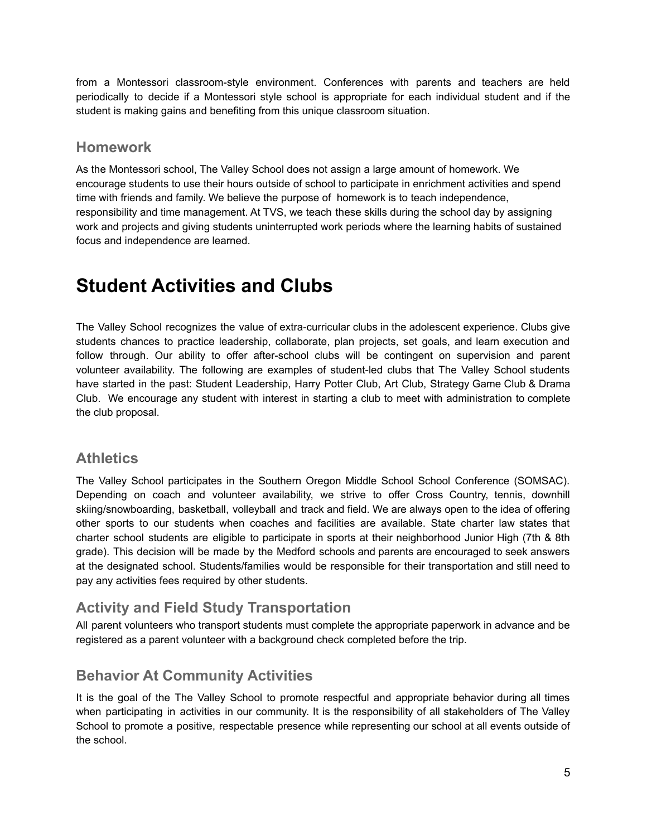from a Montessori classroom-style environment. Conferences with parents and teachers are held periodically to decide if a Montessori style school is appropriate for each individual student and if the student is making gains and benefiting from this unique classroom situation.

### **Homework**

As the Montessori school, The Valley School does not assign a large amount of homework. We encourage students to use their hours outside of school to participate in enrichment activities and spend time with friends and family. We believe the purpose of homework is to teach independence, responsibility and time management. At TVS, we teach these skills during the school day by assigning work and projects and giving students uninterrupted work periods where the learning habits of sustained focus and independence are learned.

# **Student Activities and Clubs**

The Valley School recognizes the value of extra-curricular clubs in the adolescent experience. Clubs give students chances to practice leadership, collaborate, plan projects, set goals, and learn execution and follow through. Our ability to offer after-school clubs will be contingent on supervision and parent volunteer availability. The following are examples of student-led clubs that The Valley School students have started in the past: Student Leadership, Harry Potter Club, Art Club, Strategy Game Club & Drama Club. We encourage any student with interest in starting a club to meet with administration to complete the club proposal.

### **Athletics**

The Valley School participates in the Southern Oregon Middle School School Conference (SOMSAC). Depending on coach and volunteer availability, we strive to offer Cross Country, tennis, downhill skiing/snowboarding, basketball, volleyball and track and field. We are always open to the idea of offering other sports to our students when coaches and facilities are available. State charter law states that charter school students are eligible to participate in sports at their neighborhood Junior High (7th & 8th grade). This decision will be made by the Medford schools and parents are encouraged to seek answers at the designated school. Students/families would be responsible for their transportation and still need to pay any activities fees required by other students.

## **Activity and Field Study Transportation**

All parent volunteers who transport students must complete the appropriate paperwork in advance and be registered as a parent volunteer with a background check completed before the trip.

## **Behavior At Community Activities**

It is the goal of the The Valley School to promote respectful and appropriate behavior during all times when participating in activities in our community. It is the responsibility of all stakeholders of The Valley School to promote a positive, respectable presence while representing our school at all events outside of the school.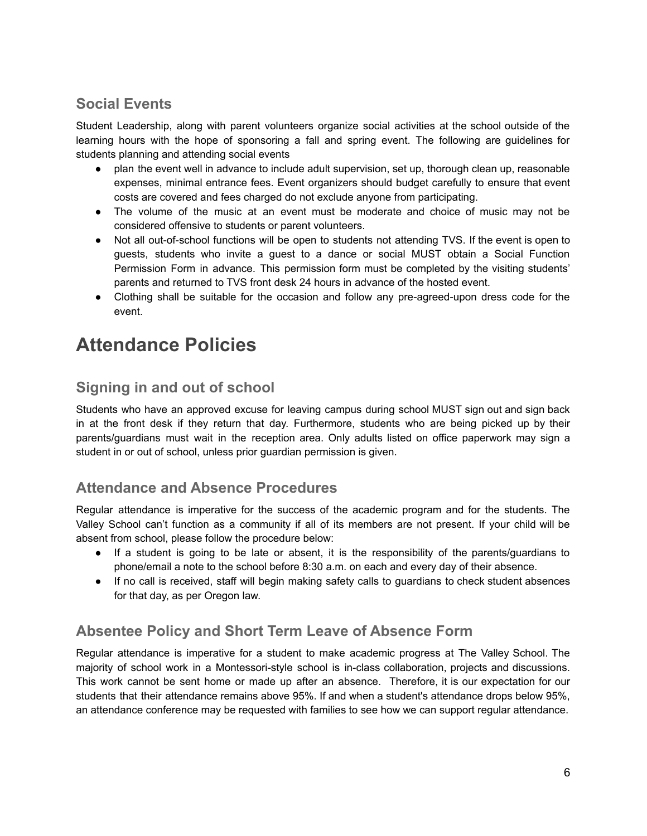## **Social Events**

Student Leadership, along with parent volunteers organize social activities at the school outside of the learning hours with the hope of sponsoring a fall and spring event. The following are guidelines for students planning and attending social events

- plan the event well in advance to include adult supervision, set up, thorough clean up, reasonable expenses, minimal entrance fees. Event organizers should budget carefully to ensure that event costs are covered and fees charged do not exclude anyone from participating.
- The volume of the music at an event must be moderate and choice of music may not be considered offensive to students or parent volunteers.
- Not all out-of-school functions will be open to students not attending TVS. If the event is open to guests, students who invite a guest to a dance or social MUST obtain a Social Function Permission Form in advance. This permission form must be completed by the visiting students' parents and returned to TVS front desk 24 hours in advance of the hosted event.
- Clothing shall be suitable for the occasion and follow any pre-agreed-upon dress code for the event.

# **Attendance Policies**

# **Signing in and out of school**

Students who have an approved excuse for leaving campus during school MUST sign out and sign back in at the front desk if they return that day. Furthermore, students who are being picked up by their parents/guardians must wait in the reception area. Only adults listed on office paperwork may sign a student in or out of school, unless prior guardian permission is given.

### **Attendance and Absence Procedures**

Regular attendance is imperative for the success of the academic program and for the students. The Valley School can't function as a community if all of its members are not present. If your child will be absent from school, please follow the procedure below:

- If a student is going to be late or absent, it is the responsibility of the parents/guardians to phone/email a note to the school before 8:30 a.m. on each and every day of their absence.
- If no call is received, staff will begin making safety calls to guardians to check student absences for that day, as per Oregon law.

# **Absentee Policy and Short Term Leave of Absence Form**

Regular attendance is imperative for a student to make academic progress at The Valley School. The majority of school work in a Montessori-style school is in-class collaboration, projects and discussions. This work cannot be sent home or made up after an absence. Therefore, it is our expectation for our students that their attendance remains above 95%. If and when a student's attendance drops below 95%, an attendance conference may be requested with families to see how we can support regular attendance.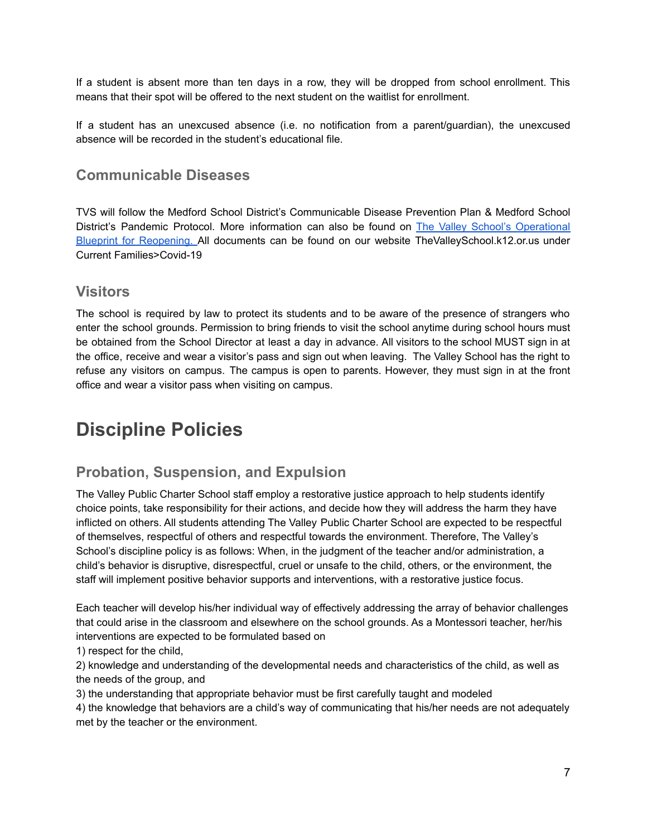If a student is absent more than ten days in a row, they will be dropped from school enrollment. This means that their spot will be offered to the next student on the waitlist for enrollment.

If a student has an unexcused absence (i.e. no notification from a parent/guardian), the unexcused absence will be recorded in the student's educational file.

### **Communicable Diseases**

TVS will follow the Medford School District's Communicable Disease Prevention Plan & Medford School District's Pandemic Protocol. More information can also be found on The Valley School's [Operational](https://05e40f77-aa9a-4b20-b482-7c764987d02b.filesusr.com/ugd/0b7962_07f4fde95ede4fa0980d091ccd421285.pdf) Blueprint for [Reopening.](https://05e40f77-aa9a-4b20-b482-7c764987d02b.filesusr.com/ugd/0b7962_07f4fde95ede4fa0980d091ccd421285.pdf) All documents can be found on our website TheValleySchool.k12.or.us under Current Families>Covid-19

### **Visitors**

The school is required by law to protect its students and to be aware of the presence of strangers who enter the school grounds. Permission to bring friends to visit the school anytime during school hours must be obtained from the School Director at least a day in advance. All visitors to the school MUST sign in at the office, receive and wear a visitor's pass and sign out when leaving. The Valley School has the right to refuse any visitors on campus. The campus is open to parents. However, they must sign in at the front office and wear a visitor pass when visiting on campus.

# **Discipline Policies**

## **Probation, Suspension, and Expulsion**

The Valley Public Charter School staff employ a restorative justice approach to help students identify choice points, take responsibility for their actions, and decide how they will address the harm they have inflicted on others. All students attending The Valley Public Charter School are expected to be respectful of themselves, respectful of others and respectful towards the environment. Therefore, The Valley's School's discipline policy is as follows: When, in the judgment of the teacher and/or administration, a child's behavior is disruptive, disrespectful, cruel or unsafe to the child, others, or the environment, the staff will implement positive behavior supports and interventions, with a restorative justice focus.

Each teacher will develop his/her individual way of effectively addressing the array of behavior challenges that could arise in the classroom and elsewhere on the school grounds. As a Montessori teacher, her/his interventions are expected to be formulated based on

1) respect for the child,

2) knowledge and understanding of the developmental needs and characteristics of the child, as well as the needs of the group, and

3) the understanding that appropriate behavior must be first carefully taught and modeled

4) the knowledge that behaviors are a child's way of communicating that his/her needs are not adequately met by the teacher or the environment.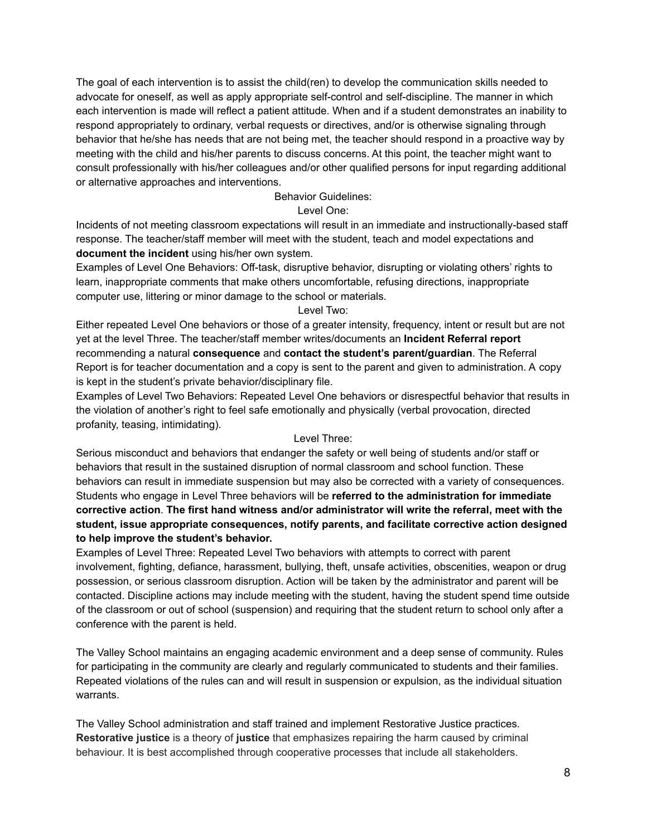The goal of each intervention is to assist the child(ren) to develop the communication skills needed to advocate for oneself, as well as apply appropriate self-control and self-discipline. The manner in which each intervention is made will reflect a patient attitude. When and if a student demonstrates an inability to respond appropriately to ordinary, verbal requests or directives, and/or is otherwise signaling through behavior that he/she has needs that are not being met, the teacher should respond in a proactive way by meeting with the child and his/her parents to discuss concerns. At this point, the teacher might want to consult professionally with his/her colleagues and/or other qualified persons for input regarding additional or alternative approaches and interventions.

#### Behavior Guidelines:

#### Level One:

Incidents of not meeting classroom expectations will result in an immediate and instructionally-based staff response. The teacher/staff member will meet with the student, teach and model expectations and **document the incident** using his/her own system.

Examples of Level One Behaviors: Off-task, disruptive behavior, disrupting or violating others' rights to learn, inappropriate comments that make others uncomfortable, refusing directions, inappropriate computer use, littering or minor damage to the school or materials.

#### Level Two:

Either repeated Level One behaviors or those of a greater intensity, frequency, intent or result but are not yet at the level Three. The teacher/staff member writes/documents an **Incident Referral report** recommending a natural **consequence** and **contact the student's parent/guardian**. The Referral Report is for teacher documentation and a copy is sent to the parent and given to administration. A copy is kept in the student's private behavior/disciplinary file.

Examples of Level Two Behaviors: Repeated Level One behaviors or disrespectful behavior that results in the violation of another's right to feel safe emotionally and physically (verbal provocation, directed profanity, teasing, intimidating).

#### Level Three:

Serious misconduct and behaviors that endanger the safety or well being of students and/or staff or behaviors that result in the sustained disruption of normal classroom and school function. These behaviors can result in immediate suspension but may also be corrected with a variety of consequences. Students who engage in Level Three behaviors will be **referred to the administration for immediate corrective action**. **The first hand witness and/or administrator will write the referral, meet with the student, issue appropriate consequences, notify parents, and facilitate corrective action designed to help improve the student's behavior.**

Examples of Level Three: Repeated Level Two behaviors with attempts to correct with parent involvement, fighting, defiance, harassment, bullying, theft, unsafe activities, obscenities, weapon or drug possession, or serious classroom disruption. Action will be taken by the administrator and parent will be contacted. Discipline actions may include meeting with the student, having the student spend time outside of the classroom or out of school (suspension) and requiring that the student return to school only after a conference with the parent is held.

The Valley School maintains an engaging academic environment and a deep sense of community. Rules for participating in the community are clearly and regularly communicated to students and their families. Repeated violations of the rules can and will result in suspension or expulsion, as the individual situation warrants.

The Valley School administration and staff trained and implement Restorative Justice practices. **Restorative justice** is a theory of **justice** that emphasizes repairing the harm caused by criminal behaviour. It is best accomplished through cooperative processes that include all stakeholders.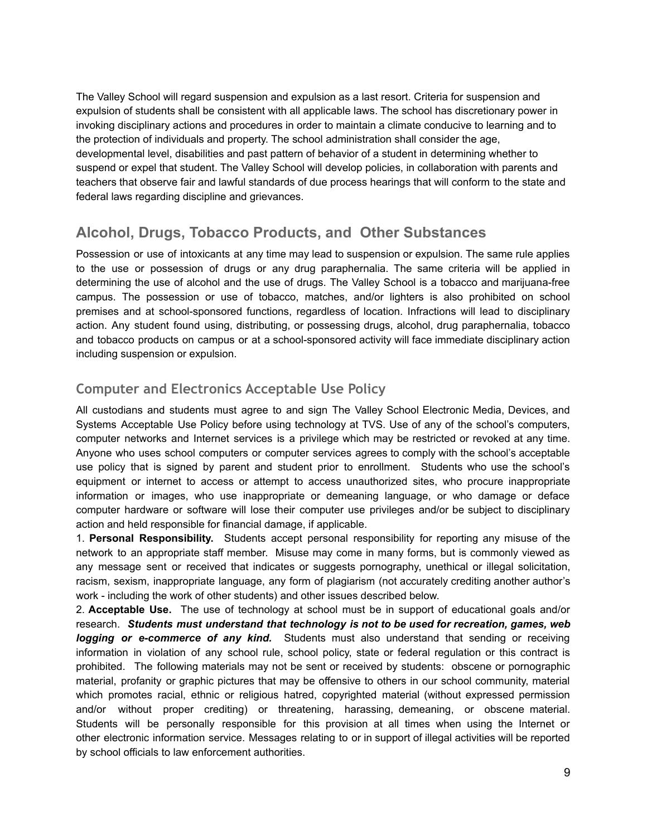The Valley School will regard suspension and expulsion as a last resort. Criteria for suspension and expulsion of students shall be consistent with all applicable laws. The school has discretionary power in invoking disciplinary actions and procedures in order to maintain a climate conducive to learning and to the protection of individuals and property. The school administration shall consider the age, developmental level, disabilities and past pattern of behavior of a student in determining whether to suspend or expel that student. The Valley School will develop policies, in collaboration with parents and teachers that observe fair and lawful standards of due process hearings that will conform to the state and federal laws regarding discipline and grievances.

### **Alcohol, Drugs, Tobacco Products, and Other Substances**

Possession or use of intoxicants at any time may lead to suspension or expulsion. The same rule applies to the use or possession of drugs or any drug paraphernalia. The same criteria will be applied in determining the use of alcohol and the use of drugs. The Valley School is a tobacco and marijuana-free campus. The possession or use of tobacco, matches, and/or lighters is also prohibited on school premises and at school-sponsored functions, regardless of location. Infractions will lead to disciplinary action. Any student found using, distributing, or possessing drugs, alcohol, drug paraphernalia, tobacco and tobacco products on campus or at a school-sponsored activity will face immediate disciplinary action including suspension or expulsion.

### **Computer and Electronics Acceptable Use Policy**

All custodians and students must agree to and sign The Valley School Electronic Media, Devices, and Systems Acceptable Use Policy before using technology at TVS. Use of any of the school's computers, computer networks and Internet services is a privilege which may be restricted or revoked at any time. Anyone who uses school computers or computer services agrees to comply with the school's acceptable use policy that is signed by parent and student prior to enrollment. Students who use the school's equipment or internet to access or attempt to access unauthorized sites, who procure inappropriate information or images, who use inappropriate or demeaning language, or who damage or deface computer hardware or software will lose their computer use privileges and/or be subject to disciplinary action and held responsible for financial damage, if applicable.

1. **Personal Responsibility.** Students accept personal responsibility for reporting any misuse of the network to an appropriate staff member. Misuse may come in many forms, but is commonly viewed as any message sent or received that indicates or suggests pornography, unethical or illegal solicitation, racism, sexism, inappropriate language, any form of plagiarism (not accurately crediting another author's work - including the work of other students) and other issues described below.

2. **Acceptable Use.** The use of technology at school must be in support of educational goals and/or research. *Students must understand that technology is not to be used for recreation, games, web logging or e-commerce of any kind.* Students must also understand that sending or receiving information in violation of any school rule, school policy, state or federal regulation or this contract is prohibited. The following materials may not be sent or received by students: obscene or pornographic material, profanity or graphic pictures that may be offensive to others in our school community, material which promotes racial, ethnic or religious hatred, copyrighted material (without expressed permission and/or without proper crediting) or threatening, harassing, demeaning, or obscene material. Students will be personally responsible for this provision at all times when using the Internet or other electronic information service. Messages relating to or in support of illegal activities will be reported by school officials to law enforcement authorities.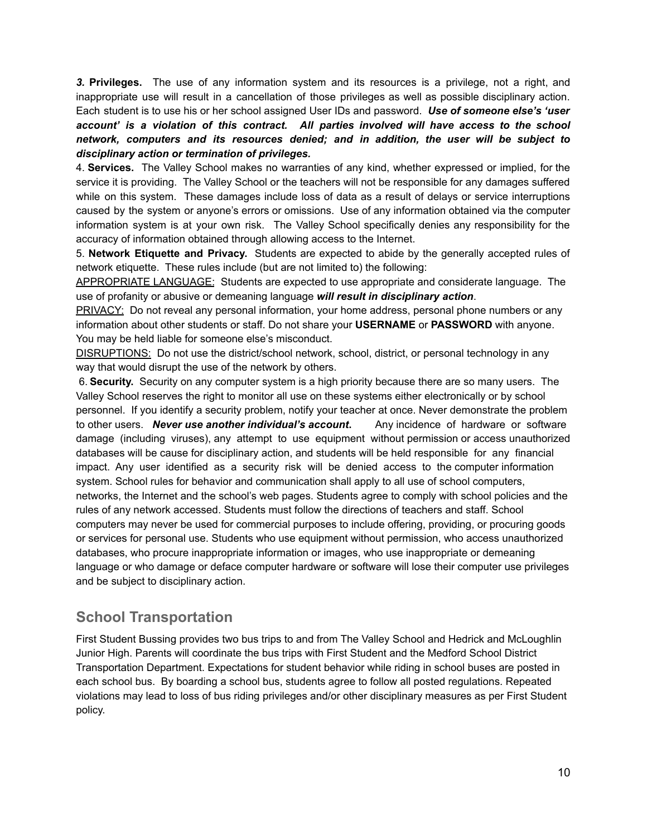*3.* **Privileges.** The use of any information system and its resources is a privilege, not a right, and inappropriate use will result in a cancellation of those privileges as well as possible disciplinary action. Each student is to use his or her school assigned User IDs and password. *Use of someone else's 'user account' is a violation of this contract. All parties involved will have access to the school network, computers and its resources denied; and in addition, the user will be subject to disciplinary action or termination of privileges.*

4. **Services.** The Valley School makes no warranties of any kind, whether expressed or implied, for the service it is providing. The Valley School or the teachers will not be responsible for any damages suffered while on this system. These damages include loss of data as a result of delays or service interruptions caused by the system or anyone's errors or omissions. Use of any information obtained via the computer information system is at your own risk. The Valley School specifically denies any responsibility for the accuracy of information obtained through allowing access to the Internet.

5. **Network Etiquette and Privacy.** Students are expected to abide by the generally accepted rules of network etiquette. These rules include (but are not limited to) the following:

APPROPRIATE LANGUAGE: Students are expected to use appropriate and considerate language. The use of profanity or abusive or demeaning language *will result in disciplinary action*.

PRIVACY: Do not reveal any personal information, your home address, personal phone numbers or any information about other students or staff. Do not share your **USERNAME** or **PASSWORD** with anyone. You may be held liable for someone else's misconduct.

DISRUPTIONS: Do not use the district/school network, school, district, or personal technology in any way that would disrupt the use of the network by others.

6. **Security.** Security on any computer system is a high priority because there are so many users. The Valley School reserves the right to monitor all use on these systems either electronically or by school personnel. If you identify a security problem, notify your teacher at once. Never demonstrate the problem to other users. *Never use another individual's account***.** Any incidence of hardware or software damage (including viruses), any attempt to use equipment without permission or access unauthorized databases will be cause for disciplinary action, and students will be held responsible for any financial impact. Any user identified as a security risk will be denied access to the computer information system. School rules for behavior and communication shall apply to all use of school computers, networks, the Internet and the school's web pages. Students agree to comply with school policies and the rules of any network accessed. Students must follow the directions of teachers and staff. School computers may never be used for commercial purposes to include offering, providing, or procuring goods or services for personal use. Students who use equipment without permission, who access unauthorized databases, who procure inappropriate information or images, who use inappropriate or demeaning language or who damage or deface computer hardware or software will lose their computer use privileges and be subject to disciplinary action.

## **School Transportation**

First Student Bussing provides two bus trips to and from The Valley School and Hedrick and McLoughlin Junior High. Parents will coordinate the bus trips with First Student and the Medford School District Transportation Department. Expectations for student behavior while riding in school buses are posted in each school bus. By boarding a school bus, students agree to follow all posted regulations. Repeated violations may lead to loss of bus riding privileges and/or other disciplinary measures as per First Student policy.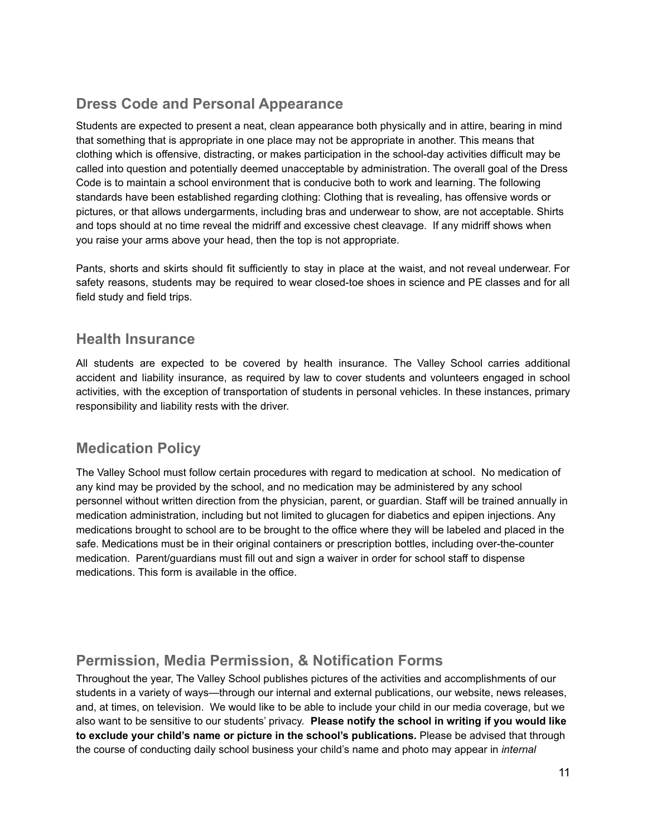# **Dress Code and Personal Appearance**

Students are expected to present a neat, clean appearance both physically and in attire, bearing in mind that something that is appropriate in one place may not be appropriate in another. This means that clothing which is offensive, distracting, or makes participation in the school-day activities difficult may be called into question and potentially deemed unacceptable by administration. The overall goal of the Dress Code is to maintain a school environment that is conducive both to work and learning. The following standards have been established regarding clothing: Clothing that is revealing, has offensive words or pictures, or that allows undergarments, including bras and underwear to show, are not acceptable. Shirts and tops should at no time reveal the midriff and excessive chest cleavage. If any midriff shows when you raise your arms above your head, then the top is not appropriate.

Pants, shorts and skirts should fit sufficiently to stay in place at the waist, and not reveal underwear. For safety reasons, students may be required to wear closed-toe shoes in science and PE classes and for all field study and field trips.

### **Health Insurance**

All students are expected to be covered by health insurance. The Valley School carries additional accident and liability insurance, as required by law to cover students and volunteers engaged in school activities, with the exception of transportation of students in personal vehicles. In these instances, primary responsibility and liability rests with the driver.

## **Medication Policy**

The Valley School must follow certain procedures with regard to medication at school. No medication of any kind may be provided by the school, and no medication may be administered by any school personnel without written direction from the physician, parent, or guardian. Staff will be trained annually in medication administration, including but not limited to glucagen for diabetics and epipen injections. Any medications brought to school are to be brought to the office where they will be labeled and placed in the safe. Medications must be in their original containers or prescription bottles, including over-the-counter medication. Parent/guardians must fill out and sign a waiver in order for school staff to dispense medications. This form is available in the office.

## **Permission, Media Permission, & Notification Forms**

Throughout the year, The Valley School publishes pictures of the activities and accomplishments of our students in a variety of ways—through our internal and external publications, our website, news releases, and, at times, on television. We would like to be able to include your child in our media coverage, but we also want to be sensitive to our students' privacy. **Please notify the school in writing if you would like to exclude your child's name or picture in the school's publications.** Please be advised that through the course of conducting daily school business your child's name and photo may appear in *internal*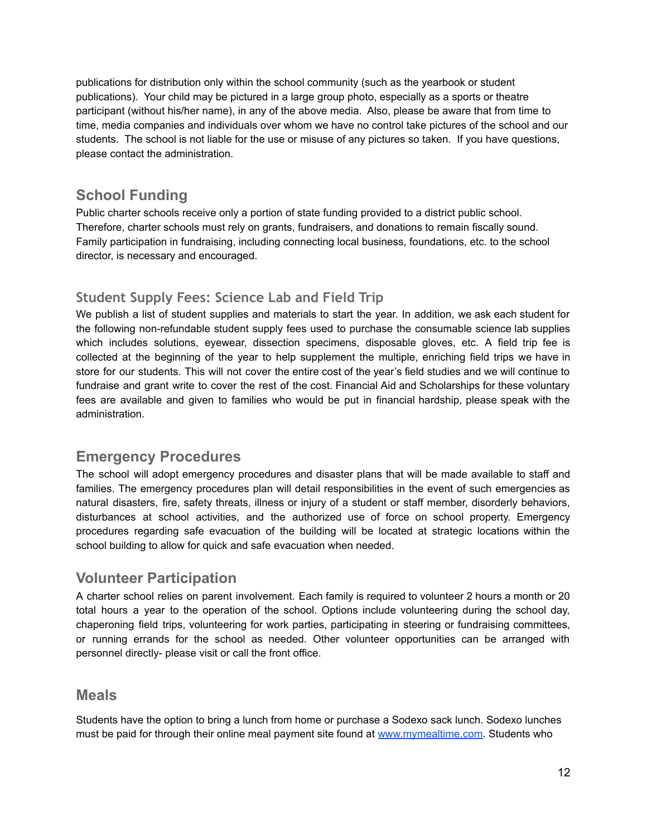publications for distribution only within the school community (such as the yearbook or student publications). Your child may be pictured in a large group photo, especially as a sports or theatre participant (without his/her name), in any of the above media. Also, please be aware that from time to time, media companies and individuals over whom we have no control take pictures of the school and our students. The school is not liable for the use or misuse of any pictures so taken. If you have questions, please contact the administration.

# **School Funding**

Public charter schools receive only a portion of state funding provided to a district public school. Therefore, charter schools must rely on grants, fundraisers, and donations to remain fiscally sound. Family participation in fundraising, including connecting local business, foundations, etc. to the school director, is necessary and encouraged.

## **Student Supply Fees: Science Lab and Field Trip**

We publish a list of student supplies and materials to start the year. In addition, we ask each student for the following non-refundable student supply fees used to purchase the consumable science lab supplies which includes solutions, eyewear, dissection specimens, disposable gloves, etc. A field trip fee is collected at the beginning of the year to help supplement the multiple, enriching field trips we have in store for our students. This will not cover the entire cost of the year's field studies and we will continue to fundraise and grant write to cover the rest of the cost. Financial Aid and Scholarships for these voluntary fees are available and given to families who would be put in financial hardship, please speak with the administration.

## **Emergency Procedures**

The school will adopt emergency procedures and disaster plans that will be made available to staff and families. The emergency procedures plan will detail responsibilities in the event of such emergencies as natural disasters, fire, safety threats, illness or injury of a student or staff member, disorderly behaviors, disturbances at school activities, and the authorized use of force on school property. Emergency procedures regarding safe evacuation of the building will be located at strategic locations within the school building to allow for quick and safe evacuation when needed.

# **Volunteer Participation**

A charter school relies on parent involvement. Each family is required to volunteer 2 hours a month or 20 total hours a year to the operation of the school. Options include volunteering during the school day, chaperoning field trips, volunteering for work parties, participating in steering or fundraising committees, or running errands for the school as needed. Other volunteer opportunities can be arranged with personnel directly- please visit or call the front office.

### **Meals**

Students have the option to bring a lunch from home or purchase a Sodexo sack lunch. Sodexo lunches must be paid for through their online meal payment site found at [www.mymealtime.com](http://www.mymealtime.com). Students who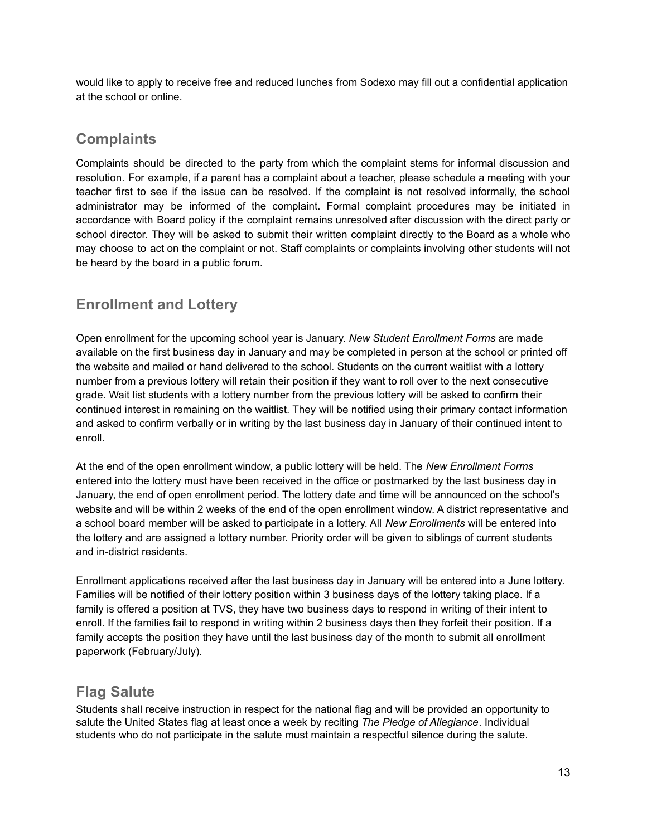would like to apply to receive free and reduced lunches from Sodexo may fill out a confidential application at the school or online.

### **Complaints**

Complaints should be directed to the party from which the complaint stems for informal discussion and resolution. For example, if a parent has a complaint about a teacher, please schedule a meeting with your teacher first to see if the issue can be resolved. If the complaint is not resolved informally, the school administrator may be informed of the complaint. Formal complaint procedures may be initiated in accordance with Board policy if the complaint remains unresolved after discussion with the direct party or school director. They will be asked to submit their written complaint directly to the Board as a whole who may choose to act on the complaint or not. Staff complaints or complaints involving other students will not be heard by the board in a public forum.

# **Enrollment and Lottery**

Open enrollment for the upcoming school year is January. *New Student Enrollment Forms* are made available on the first business day in January and may be completed in person at the school or printed off the website and mailed or hand delivered to the school. Students on the current waitlist with a lottery number from a previous lottery will retain their position if they want to roll over to the next consecutive grade. Wait list students with a lottery number from the previous lottery will be asked to confirm their continued interest in remaining on the waitlist. They will be notified using their primary contact information and asked to confirm verbally or in writing by the last business day in January of their continued intent to enroll.

At the end of the open enrollment window, a public lottery will be held. The *New Enrollment Forms* entered into the lottery must have been received in the office or postmarked by the last business day in January, the end of open enrollment period. The lottery date and time will be announced on the school's website and will be within 2 weeks of the end of the open enrollment window. A district representative and a school board member will be asked to participate in a lottery. All *New Enrollments* will be entered into the lottery and are assigned a lottery number. Priority order will be given to siblings of current students and in-district residents.

Enrollment applications received after the last business day in January will be entered into a June lottery. Families will be notified of their lottery position within 3 business days of the lottery taking place. If a family is offered a position at TVS, they have two business days to respond in writing of their intent to enroll. If the families fail to respond in writing within 2 business days then they forfeit their position. If a family accepts the position they have until the last business day of the month to submit all enrollment paperwork (February/July).

# **Flag Salute**

Students shall receive instruction in respect for the national flag and will be provided an opportunity to salute the United States flag at least once a week by reciting *The Pledge of Allegiance*. Individual students who do not participate in the salute must maintain a respectful silence during the salute.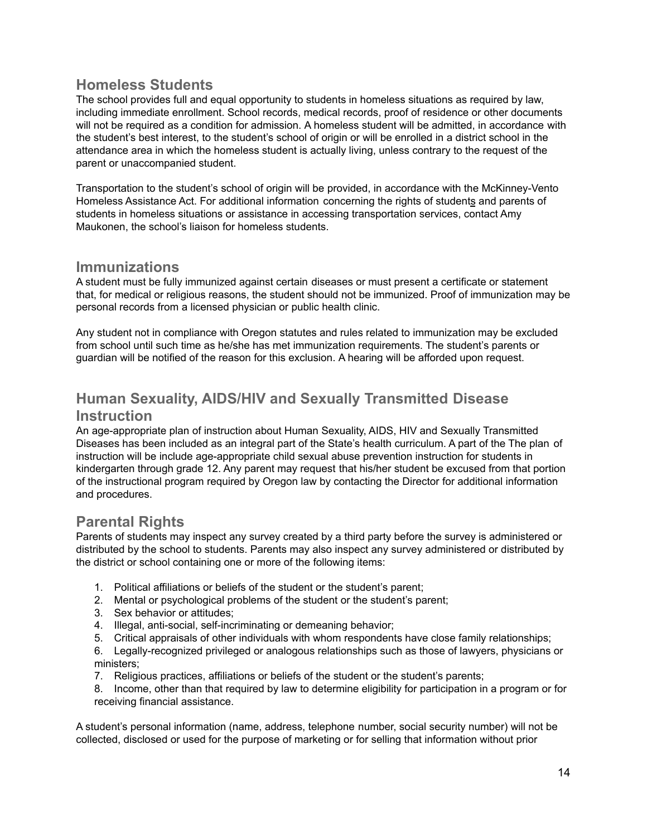### **Homeless Students**

The school provides full and equal opportunity to students in homeless situations as required by law, including immediate enrollment. School records, medical records, proof of residence or other documents will not be required as a condition for admission. A homeless student will be admitted, in accordance with the student's best interest, to the student's school of origin or will be enrolled in a district school in the attendance area in which the homeless student is actually living, unless contrary to the request of the parent or unaccompanied student.

Transportation to the student's school of origin will be provided, in accordance with the McKinney-Vento Homeless Assistance Act. For additional information concerning the rights of students and parents of students in homeless situations or assistance in accessing transportation services, contact Amy Maukonen, the school's liaison for homeless students.

### **Immunizations**

A student must be fully immunized against certain diseases or must present a certificate or statement that, for medical or religious reasons, the student should not be immunized. Proof of immunization may be personal records from a licensed physician or public health clinic.

Any student not in compliance with Oregon statutes and rules related to immunization may be excluded from school until such time as he/she has met immunization requirements. The student's parents or guardian will be notified of the reason for this exclusion. A hearing will be afforded upon request.

# **Human Sexuality, AIDS/HIV and Sexually Transmitted Disease**

#### **Instruction**

An age-appropriate plan of instruction about Human Sexuality, AIDS, HIV and Sexually Transmitted Diseases has been included as an integral part of the State's health curriculum. A part of the The plan of instruction will be include age-appropriate child sexual abuse prevention instruction for students in kindergarten through grade 12. Any parent may request that his/her student be excused from that portion of the instructional program required by Oregon law by contacting the Director for additional information and procedures.

### **Parental Rights**

Parents of students may inspect any survey created by a third party before the survey is administered or distributed by the school to students. Parents may also inspect any survey administered or distributed by the district or school containing one or more of the following items:

- 1. Political affiliations or beliefs of the student or the student's parent;
- 2. Mental or psychological problems of the student or the student's parent;
- 3. Sex behavior or attitudes;
- 4. Illegal, anti-social, self-incriminating or demeaning behavior;
- 5. Critical appraisals of other individuals with whom respondents have close family relationships;
- 6. Legally-recognized privileged or analogous relationships such as those of lawyers, physicians or ministers;
- 7. Religious practices, affiliations or beliefs of the student or the student's parents;
- 8. Income, other than that required by law to determine eligibility for participation in a program or for receiving financial assistance.

A student's personal information (name, address, telephone number, social security number) will not be collected, disclosed or used for the purpose of marketing or for selling that information without prior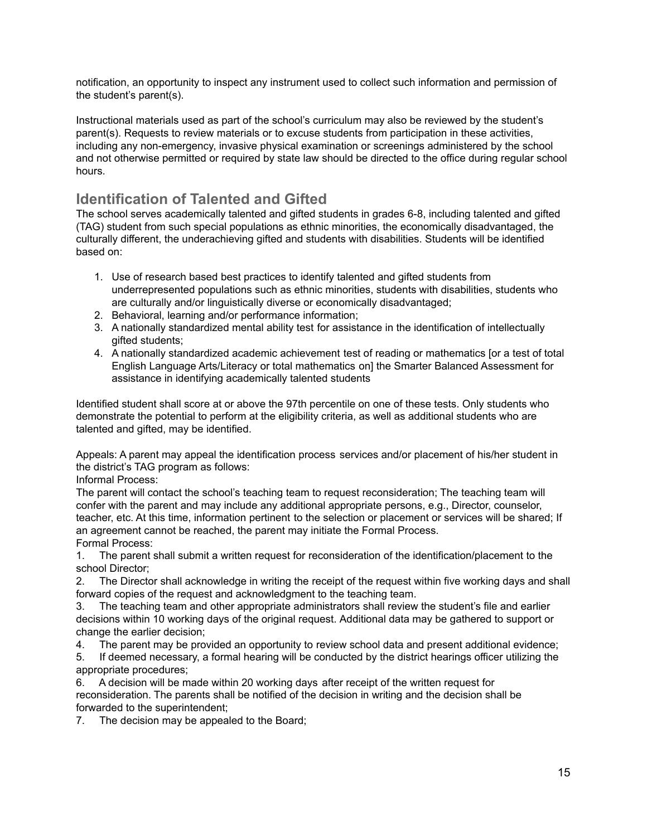notification, an opportunity to inspect any instrument used to collect such information and permission of the student's parent(s).

Instructional materials used as part of the school's curriculum may also be reviewed by the student's parent(s). Requests to review materials or to excuse students from participation in these activities, including any non-emergency, invasive physical examination or screenings administered by the school and not otherwise permitted or required by state law should be directed to the office during regular school hours.

## **Identification of Talented and Gifted**

The school serves academically talented and gifted students in grades 6-8, including talented and gifted (TAG) student from such special populations as ethnic minorities, the economically disadvantaged, the culturally different, the underachieving gifted and students with disabilities. Students will be identified based on:

- 1. Use of research based best practices to identify talented and gifted students from underrepresented populations such as ethnic minorities, students with disabilities, students who are culturally and/or linguistically diverse or economically disadvantaged;
- 2. Behavioral, learning and/or performance information;
- 3. A nationally standardized mental ability test for assistance in the identification of intellectually gifted students;
- 4. A nationally standardized academic achievement test of reading or mathematics [or a test of total English Language Arts/Literacy or total mathematics on] the Smarter Balanced Assessment for assistance in identifying academically talented students

Identified student shall score at or above the 97th percentile on one of these tests. Only students who demonstrate the potential to perform at the eligibility criteria, as well as additional students who are talented and gifted, may be identified.

Appeals: A parent may appeal the identification process services and/or placement of his/her student in the district's TAG program as follows:

Informal Process:

The parent will contact the school's teaching team to request reconsideration; The teaching team will confer with the parent and may include any additional appropriate persons, e.g., Director, counselor, teacher, etc. At this time, information pertinent to the selection or placement or services will be shared; If an agreement cannot be reached, the parent may initiate the Formal Process. Formal Process:

1. The parent shall submit a written request for reconsideration of the identification/placement to the school Director;

2. The Director shall acknowledge in writing the receipt of the request within five working days and shall forward copies of the request and acknowledgment to the teaching team.

3. The teaching team and other appropriate administrators shall review the student's file and earlier decisions within 10 working days of the original request. Additional data may be gathered to support or change the earlier decision;

4. The parent may be provided an opportunity to review school data and present additional evidence;

5. If deemed necessary, a formal hearing will be conducted by the district hearings officer utilizing the appropriate procedures;

6. A decision will be made within 20 working days after receipt of the written request for reconsideration. The parents shall be notified of the decision in writing and the decision shall be forwarded to the superintendent;

7. The decision may be appealed to the Board;